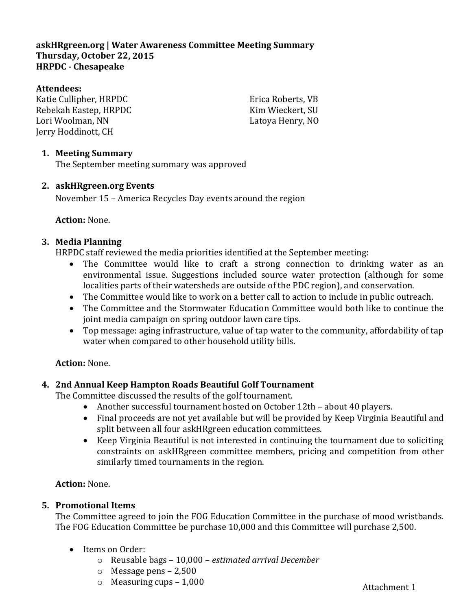# **askHRgreen.org | Water Awareness Committee Meeting Summary Thursday, October 22, 2015 HRPDC - Chesapeake**

#### **Attendees:**

Katie Cullipher, HRPDC Rebekah Eastep, HRPDC Lori Woolman, NN Jerry Hoddinott, CH

Erica Roberts, VB Kim Wieckert, SU Latoya Henry, NO

#### **1. Meeting Summary**

The September meeting summary was approved

#### **2. askHRgreen.org Events**

November 15 – America Recycles Day events around the region

#### **Action:** None.

#### **3. Media Planning**

HRPDC staff reviewed the media priorities identified at the September meeting:

- The Committee would like to craft a strong connection to drinking water as an environmental issue. Suggestions included source water protection (although for some localities parts of their watersheds are outside of the PDC region), and conservation.
- The Committee would like to work on a better call to action to include in public outreach.
- The Committee and the Stormwater Education Committee would both like to continue the joint media campaign on spring outdoor lawn care tips.
- Top message: aging infrastructure, value of tap water to the community, affordability of tap water when compared to other household utility bills.

# **Action:** None.

# **4. 2nd Annual Keep Hampton Roads Beautiful Golf Tournament**

The Committee discussed the results of the golf tournament.

- Another successful tournament hosted on October 12th about 40 players.
- Final proceeds are not yet available but will be provided by Keep Virginia Beautiful and split between all four askHRgreen education committees.
- Keep Virginia Beautiful is not interested in continuing the tournament due to soliciting constraints on askHRgreen committee members, pricing and competition from other similarly timed tournaments in the region.

**Action:** None.

# **5. Promotional Items**

The Committee agreed to join the FOG Education Committee in the purchase of mood wristbands. The FOG Education Committee be purchase 10,000 and this Committee will purchase 2,500.

- Items on Order:
	- o Reusable bags 10,000 *estimated arrival December*
	- o Message pens 2,500
	- $\circ$  Measuring cups 1,000

Attachment 1